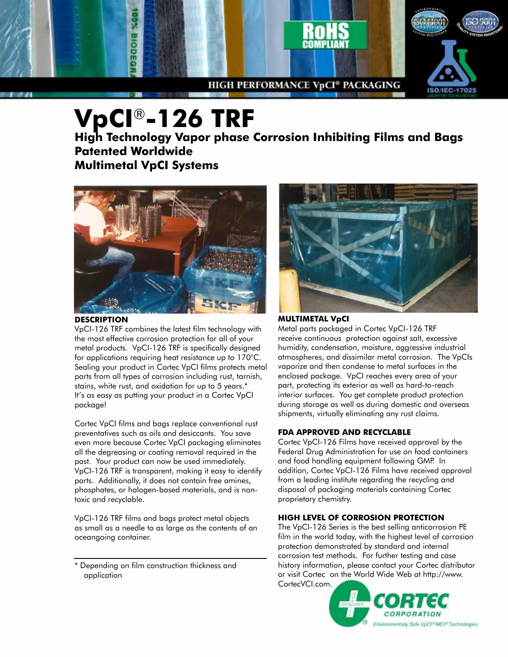

# **VpCI**®**-126 TRF**

**High Technology Vapor phase Corrosion Inhibiting Films and Bags Patented Worldwide Multimetal VpCI Systems**



#### **description**

VpCI-126 TRF combines the latest film technology with the most effective corrosion protection for all of your metal products. VpCI-126 TRF is specifically designed for applications requiring heat resistance up to 170°C. Sealing your product in Cortec VpCI films protects metal parts from all types of corrosion including rust, tarnish, stains, white rust, and oxidation for up to 5 years.\* It's as easy as putting your product in a Cortec VpCI package!

Cortec VpCI films and bags replace conventional rust preventatives such as oils and desiccants. You save even more because Cortec VpCI packaging eliminates all the degreasing or coating removal required in the past. Your product can now be used immediately. VpCI-126 TRF is transparent, making it easy to identify parts. Additionally, it does not contain free amines, phosphates, or halogen-based materials, and is nontoxic and recyclable.

VpCI-126 TRF films and bags protect metal objects as small as a needle to as large as the contents of an oceangoing container.

\* Depending on film construction thickness and application



#### **Multimetal Vpci**

Metal parts packaged in Cortec VpCI-126 TRF receive continuous protection against salt, excessive humidity, condensation, moisture, aggressive industrial atmospheres, and dissimilar metal corrosion. The VpCIs vaporize and then condense to metal surfaces in the enclosed package. VpCI reaches every area of your part, protecting its exterior as well as hard-to-reach interior surfaces. You get complete product protection during storage as well as during domestic and overseas shipments, virtually eliminating any rust claims.

#### **FDA APPROVED AND RECYCLABLE**

Cortec VpCI-126 Films have received approval by the Federal Drug Administration for use on food containers and food handling equipment following GMP. In addition, Cortec VpCI-126 Films have received approval from a leading institute regarding the recycling and disposal of packaging materials containing Cortec proprietary chemistry.

#### **HIGH LEVEL OF CORROSION PROTECTION**

The VpCI-126 Series is the best selling anticorrosion PE film in the world today, with the highest level of corrosion protection demonstrated by standard and internal corrosion test methods. For further testing and case history information, please contact your Cortec distributor or visit Cortec on the World Wide Web at http://www. CortecVCI.com.